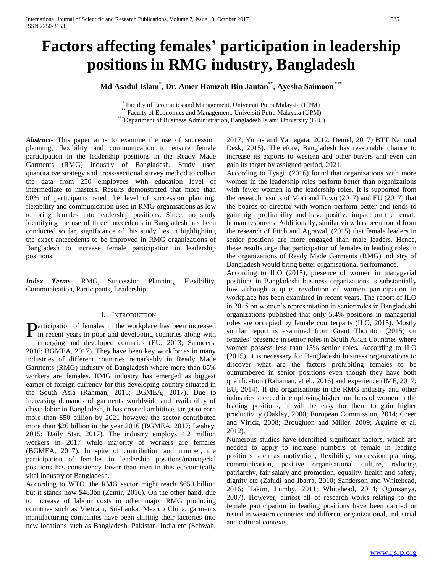# **Factors affecting females' participation in leadership positions in RMG industry, Bangladesh**

**Md Asadul Islam\* , Dr. Amer Hamzah Bin Jantan\*\*, Ayesha Saimoon \*\*\***

\* Faculty of Economics and Management, Universiti Putra Malaysia (UPM) \*\* Faculty of Economics and Management, Universiti Putra Malaysia (UPM) \*\*\* Department of Business Administration, Bangladesh Islami University (BIU)

*Abstract***-** This paper aims to examine the use of succession planning, flexibility and communication to ensure female participation in the leadership positions in the Ready Made Garments (RMG) industry of Bangladesh. Study used quantitative strategy and cross-sectional survey method to collect the data from 250 employees with education level of intermediate to masters. Results demonstrated that more than 90% of participants rated the level of succession planning, flexibility and communication used in RMG organisations as low to bring females into leadership positions. Since, no study identifying the use of three antecedents in Bangladesh has been conducted so far, significance of this study lies in highlighting the exact antecedents to be improved in RMG organizations of Bangladesh to increase female participation in leadership positions.

*Index Terms*- RMG, Succession Planning, Flexibility, Communication, Participants, Leadership

#### I. INTRODUCTION

**P**articipation of females in the workplace has been increased in recent years in poor and developing countries along with in recent years in poor and developing countries along with emerging and developed countries (EU, 2013; Saunders, 2016; BGMEA, 2017). They have been key workforces in many industries of different countries remarkably in Ready Made Garments (RMG) industry of Bangladesh where more than 85% workers are females. RMG industry has emerged as biggest earner of foreign currency for this developing country situated in the South Asia (Rahman, 2015; BGMEA, 2017). Due to increasing demands of garments worldwide and availability of cheap labor in Bangladesh, it has created ambitious target to earn more than \$50 billion by 2021 however the sector contributed more than \$26 billion in the year 2016 (BGMEA, 2017; Leahey, 2015; Daily Star, 2017). The industry employs 4.2 million workers in 2017 while majority of workers are females (BGMEA, 2017). In spite of contribution and number, the participation of females in leadership positions/managerial positions has consistency lower than men in this economically vital industry of Bangladesh.

According to WTO, the RMG sector might reach \$650 billion but it stands now \$483bn (Zamir, 2016). On the other hand, due to increase of labour costs in other major RMG producing countries such as Vietnam, Sri-Lanka, Mexico China, garments manufacturing companies have been shifting their factories into new locations such as Bangladesh, Pakistan, India etc (Schwab, 2017; Yunus and Yamagata, 2012; Deniel, 2017) BTT National Desk, 2015). Therefore, Bangladesh has reasonable chance to increase its exports to western and other buyers and even can gain its target by assigned period, 2021.

According to Tyagi, (2016) found that organizations with more women in the leadership roles perform better than organizations with fewer women in the leadership roles. It is supported from the research results of Mori and Towo (2017) and EU (2017) that the boards of director with women perform better and tends to gain high profitability and have positive impact on the female human resources. Additionally, similar view has been found from the research of Fitch and Agrawal, (2015) that female leaders in senior positions are more engaged than male leaders. Hence, these results urge that participation of females in leading roles in the organizations of Ready Made Garments (RMG) industry of Bangladesh would bring better organisational performance.

According to ILO (2015), presence of women in managerial positions in Bangladeshi business organizations is substantially low although a quiet revolution of women participation in workplace has been examined in recent years. The report of ILO in 2015 on women's representation in senior roles in Bangladeshi organizations published that only 5.4% positions in managerial roles are occupied by female counterparts (ILO, 2015). Mostly similar report is examined from Grant Thornton (2015) on females' presence in senior roles in South Asian Countries where women possess less than 15% senior roles. According to ILO (2015), it is necessary for Bangladeshi business organizations to discover what are the factors prohibiting females to be outnumbered in senior positions even though they have both qualification (Rahaman, et el., 2016) and experience (IMF, 2017; EU, 2014). If the organisations in the RMG industry and other industries succeed in employing higher numbers of women in the leading positions, it will be easy for them to gain higher productivity (Oakley, 2000; European Commission, 2014; Greer and Virick, 2008; Broughton and Miller, 2009; Aguirre et al, 2012).

Numerous studies have identified significant factors, which are needed to apply to increase numbers of female in leading positions such as motivation, flexibility, succession planning, communication, positive organisational culture, reducing patriarchy, fair salary and promotion, equality, health and safety, dignity etc (Zahidi and Ibarra, 2010; Sanderson and Whitehead, 2016; Hakim, Lumby, 2011; Whitehead, 2014; Ogunsanya, 2007). However, almost all of research works relating to the female participation in leading positions have been carried or tested in western countries and different organizational, industrial and cultural contexts.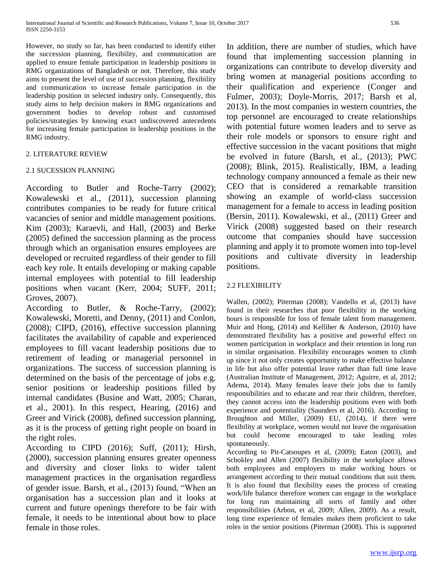However, no study so far, has been conducted to identify either the succession planning, flexibility, and communication are applied to ensure female participation in leadership positions in RMG organizations of Bangladesh or not. Therefore, this study aims to present the level of use of succession planning, flexibility and communication to increase female participation in the leadership position in selected industry only. Consequently, this study aims to help decision makers in RMG organizations and government bodies to develop robust and customised policies/strategies by knowing exact undiscovered antecedents for increasing female participation in leadership positions in the RMG industry.

# 2. LITERATURE REVIEW

# 2.1 SUCESSION PLANNING

According to Butler and Roche-Tarry (2002); Kowalewski et al., (2011), succession planning contributes companies to be ready for future critical vacancies of senior and middle management positions. Kim (2003); Karaevli, and Hall, (2003) and Berke (2005) defined the succession planning as the process through which an organisation ensures employees are developed or recruited regardless of their gender to fill each key role. It entails developing or making capable internal employees with potential to fill leadership positions when vacant (Kerr, 2004; SUFF, 2011; Groves, 2007).

According to Butler, & Roche-Tarry, (2002); Kowalewski, Moretti, and Denny, (2011) and Conlon, (2008); CIPD, (2016), effective succession planning facilitates the availability of capable and experienced employees to fill vacant leadership positions due to retirement of leading or managerial personnel in organizations. The success of succession planning is determined on the basis of the percentage of jobs e.g. senior positions or leadership positions filled by internal candidates (Busine and Watt, 2005; Charan, et al., 2001). In this respect, Hearing, (2016) and Greer and Virick (2008), defined succession planning, as it is the process of getting right people on board in the right roles.

According to CIPD (2016); Suff, (2011); Hirsh, (2000), succession planning ensures greater openness and diversity and closer links to wider talent management practices in the organisation regardless of gender issue. Barsh, et al., (2013) found, "When an organisation has a succession plan and it looks at current and future openings therefore to be fair with female, it needs to be intentional about how to place female in those roles.

In addition, there are number of studies, which have found that implementing succession planning in organizations can contribute to develop diversity and bring women at managerial positions according to their qualification and experience (Conger and Fulmer, 2003); Doyle-Morris, 2017; Barsh et al, 2013). In the most companies in western countries, the top personnel are encouraged to create relationships with potential future women leaders and to serve as their role models or sponsors to ensure right and effective succession in the vacant positions that might be evolved in future (Barsh, et al., (2013); PWC (2008); Blink, 2015). Realistically, IBM, a leading technology company announced a female as their new CEO that is considered a remarkable transition showing an example of world-class succession management for a female to access in leading position (Bersin, 2011). Kowalewski, et al., (2011) Greer and Virick (2008) suggested based on their research outcome that companies should have succession planning and apply it to promote women into top-level positions and cultivate diversity in leadership positions.

# 2.2 FLEXIBILITY

Wallen, (2002); Piterman (2008); Vandello et al, (2013) have found in their researches that poor flexibility in the working hours is responsible for loss of female talent from management. Muir and Hong, (2014) and Kelliher & Anderson, (2010) have demonstrated flexibility has a positive and powerful effect on women participation in workplace and their retention in long run in similar organisation. Flexibility encourages women to climb up since it not only creates opportunity to make effective balance in life but also offer potential leave rather than full time leave (Australian Institute of Management, 2012; Aguirre, et al, 2012; Adema, 2014). Many females leave their jobs due to family responsibilities and to educate and rear their children, therefore, they cannot access into the leadership positions even with both experience and potentiality (Saunders et al, 2016). According to Broughton and Miller, (2009) EU, (2014), if there were flexibility at workplace, women would not leave the organisation but could become encouraged to take leading roles spontaneously.

According to Pit-Catsoupes et al, (2009); Eaton (2003), and Schokley and Allen (2007) flexibility in the workplace allows both employees and employers to make working hours or arrangement according to their mutual conditions that suit them. It is also found that flexibility eases the process of creating work/life balance therefore women can engage in the workplace for long run maintaining all sorts of family and other responsibilities (Arbon, et al, 2009; Allen, 2009). As a result, long time experience of females makes them proficient to take roles in the senior positions (Piterman (2008). This is supported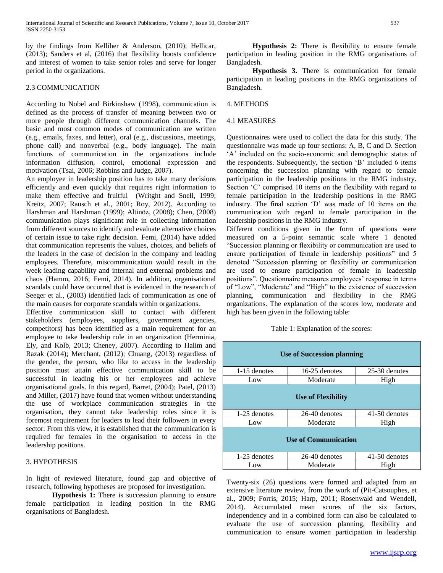by the findings from Kelliher & Anderson, (2010); Hellicar, (2013); Sanders et al, (2016) that flexibility boosts confidence and interest of women to take senior roles and serve for longer period in the organizations.

#### 2.3 COMMUNICATION

According to Nobel and Birkinshaw (1998), communication is defined as the process of transfer of meaning between two or more people through different communication channels. The basic and most common modes of communication are written (e.g., emails, faxes, and letter), oral (e.g., discussions, meetings, phone call) and nonverbal (e.g., body language). The main functions of communication in the organizations include information diffusion, control, emotional expression and motivation (Tsai, 2006; Robbins and Judge, 2007).

An employee in leadership position has to take many decisions efficiently and even quickly that requires right information to make them effective and fruitful (Writght and Snell, 1999; Kreitz, 2007; Rausch et al., 2001; Roy, 2012). According to Harshman and Harshman (1999); Altinöz, (2008); Chen, (2008) communication plays significant role in collecting information from different sources to identify and evaluate alternative choices of certain issue to take right decision. Femi, (2014) have added that communication represents the values, choices, and beliefs of the leaders in the case of decision in the company and leading employees. Therefore, miscommunication would result in the week leading capability and internal and external problems and chaos (Hamm, 2016; Femi, 2014). In addition, organisational scandals could have occurred that is evidenced in the research of Seeger et al., (2003) identified lack of communication as one of the main causes for corporate scandals within organizations.

Effective communication skill to contact with different stakeholders (employees, suppliers, government agencies, competitors) has been identified as a main requirement for an employee to take leadership role in an organization (Herminia, Ely, and Kolb, 2013; Cheney, 2007). According to Halim and Razak (2014); Merchant, (2012); Chuang, (2013) regardless of the gender, the person, who like to access in the leadership position must attain effective communication skill to be successful in leading his or her employees and achieve organisational goals. In this regard, Barret, (2004); Patel, (2013) and Miller, (2017) have found that women without understanding the use of workplace communication strategies in the organisation, they cannot take leadership roles since it is foremost requirement for leaders to lead their followers in every sector. From this view, it is established that the communication is required for females in the organisation to access in the leadership positions.

## 3. HYPOTHESIS

In light of reviewed literature, found gap and objective of research, following hypotheses are proposed for investigation.

**Hypothesis 1:** There is succession planning to ensure female participation in leading position in the RMG organisations of Bangladesh.

**Hypothesis 2:** There is flexibility to ensure female participation in leading position in the RMG organisations of Bangladesh.

**Hypothesis 3.** There is communication for female participation in leading positions in the RMG organizations of Bangladesh.

## 4. METHODS

#### 4.1 MEASURES

Questionnaires were used to collect the data for this study. The questionnaire was made up four sections: A, B, C and D. Section 'A' included on the socio-economic and demographic status of the respondents. Subsequently, the section 'B' included 6 items concerning the succession planning with regard to female participation in the leadership positions in the RMG industry. Section 'C' comprised 10 items on the flexibility with regard to female participation in the leadership positions in the RMG industry. The final section 'D' was made of 10 items on the communication with regard to female participation in the leadership positions in the RMG industry.

Different conditions given in the form of questions were measured on a 5-point semantic scale where 1 denoted "Succession planning or flexibility or communication are used to ensure participation of female in leadership positions" and 5 denoted "Succession planning or flexibility or communication are used to ensure participation of female in leadership positions". Questionnaire measures employees' response in terms of "Low", "Moderate" and "High" to the existence of succession planning, communication and flexibility in the RMG organizations. The explanation of the scores low, moderate and high has been given in the following table:

Table 1: Explanation of the scores:

| <b>Use of Succession planning</b> |               |               |  |  |  |  |
|-----------------------------------|---------------|---------------|--|--|--|--|
| 1-15 denotes                      | 16-25 denotes | 25-30 denotes |  |  |  |  |
| Low                               | Moderate      | High          |  |  |  |  |
| Use of Flexibility                |               |               |  |  |  |  |
| 1-25 denotes                      | 26-40 denotes | 41-50 denotes |  |  |  |  |
| Low                               | Moderate      | High          |  |  |  |  |
| <b>Use of Communication</b>       |               |               |  |  |  |  |
| 1-25 denotes                      | 26-40 denotes | 41-50 denotes |  |  |  |  |
| Low                               | Moderate      | High          |  |  |  |  |

Twenty-six (26) questions were formed and adapted from an extensive literature review, from the work of (Pit-Catsouphes, et al., 2009; Forris, 2015; Harp, 2011; Rosenwald and Wendell, 2014). Accumulated mean scores of the six factors, independency and in a combined form can also be calculated to evaluate the use of succession planning, flexibility and communication to ensure women participation in leadership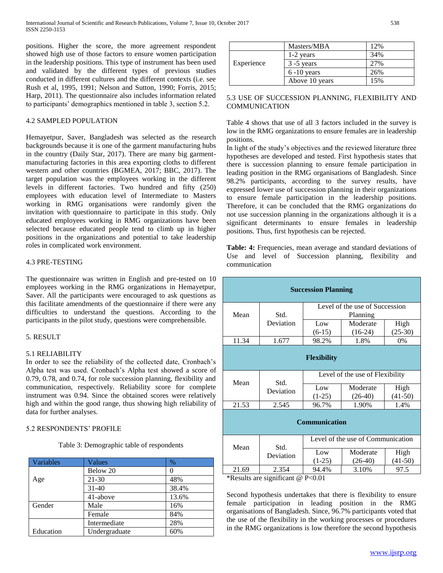positions. Higher the score, the more agreement respondent showed high use of those factors to ensure women participation in the leadership positions. This type of instrument has been used and validated by the different types of previous studies conducted in different cultures and the different contexts (i.e. see Rush et al, 1995, 1991; Nelson and Sutton, 1990; Forris, 2015; Harp, 2011). The questionnaire also includes information related to participants' demographics mentioned in table 3, section 5.2.

## 4.2 SAMPLED POPULATION

Hemayetpur, Saver, Bangladesh was selected as the research backgrounds because it is one of the garment manufacturing hubs in the country (Daily Star, 2017). There are many big garmentmanufacturing factories in this area exporting cloths to different western and other countries (BGMEA, 2017; BBC, 2017). The target population was the employees working in the different levels in different factories. Two hundred and fifty (250) employees with education level of Intermediate to Masters working in RMG organisations were randomly given the invitation with questionnaire to participate in this study. Only educated employees working in RMG organizations have been selected because educated people tend to climb up in higher positions in the organizations and potential to take leadership roles in complicated work environment.

#### 4.3 PRE-TESTING

The questionnaire was written in English and pre-tested on 10 employees working in the RMG organizations in Hemayetpur, Saver. All the participants were encouraged to ask questions as this facilitate amendments of the questionnaire if there were any difficulties to understand the questions. According to the participants in the pilot study, questions were comprehensible.

#### 5. RESULT

#### 5.1 RELIABILITY

In order to see the reliability of the collected date, Cronbach's Alpha test was used. Cronbach's Alpha test showed a score of 0.79, 0.78, and 0.74, for role succession planning, flexibility and communication, respectively. Reliability score for complete instrument was 0.94. Since the obtained scores were relatively high and within the good range, thus showing high reliability of data for further analyses.

#### 5.2 RESPONDENTS' PROFILE

Table 3: Demographic table of respondents

| Variables | Values        | %     |
|-----------|---------------|-------|
|           | Below 20      |       |
| Age       | 21-30         | 48%   |
|           | $31-40$       | 38.4% |
|           | 41-above      | 13.6% |
| Gender    | Male          | 16%   |
|           | Female        | 84%   |
|           | Intermediate  | 28%   |
| Education | Undergraduate | 60%   |

|            | Masters/MBA    | 12% |
|------------|----------------|-----|
|            | 1-2 years      | 34% |
| Experience | $3 - 5$ years  | 27% |
|            | $6 - 10$ years | 26% |
|            | Above 10 years | 15% |

### 5.3 USE OF SUCCESSION PLANNING, FLEXIBILITY AND COMMUNICATION

Table 4 shows that use of all 3 factors included in the survey is low in the RMG organizations to ensure females are in leadership positions.

In light of the study's objectives and the reviewed literature three hypotheses are developed and tested. First hypothesis states that there is succession planning to ensure female participation in leading position in the RMG organisations of Bangladesh. Since 98.2% participants, according to the survey results, have expressed lower use of succession planning in their organizations to ensure female participation in the leadership positions. Therefore, it can be concluded that the RMG organizations do not use succession planning in the organizations although it is a significant determinants to ensure females in leadership positions. Thus, first hypothesis can be rejected.

**Table: 4:** Frequencies, mean average and standard deviations of Use and level of Succession planning, flexibility and communication

| <b>Succession Planning</b> |                   |                                   |           |           |  |  |  |
|----------------------------|-------------------|-----------------------------------|-----------|-----------|--|--|--|
|                            |                   | Level of the use of Succession    |           |           |  |  |  |
| Mean                       | Std.              | Planning                          |           |           |  |  |  |
|                            | Deviation         | Low                               | Moderate  | High      |  |  |  |
|                            |                   | $(6-15)$                          | $(16-24)$ | $(25-30)$ |  |  |  |
| 11.34                      | 1.677             | 98.2%                             | 1.8%      | 0%        |  |  |  |
| <b>Flexibility</b>         |                   |                                   |           |           |  |  |  |
| Mean                       | Std.              | Level of the use of Flexibility   |           |           |  |  |  |
|                            | Deviation         | Low                               | Moderate  | High      |  |  |  |
|                            |                   | $(1-25)$                          | $(26-40)$ | $(41-50)$ |  |  |  |
| 21.53                      | 2.545             | 96.7%                             | 1.90%     | 1.4%      |  |  |  |
| <b>Communication</b>       |                   |                                   |           |           |  |  |  |
| Mean                       | Std.<br>Deviation | Level of the use of Communication |           |           |  |  |  |
|                            |                   | Low                               | Moderate  | High      |  |  |  |
|                            |                   | $(1-25)$                          | $(26-40)$ | $(41-50)$ |  |  |  |
| 21.69                      | 2.354             | 94.4%                             | 3.10%     | 97.5      |  |  |  |

\*Results are significant @ P<0.01

Second hypothesis undertakes that there is flexibility to ensure female participation in leading position in the RMG organisations of Bangladesh. Since, 96.7% participants voted that the use of the flexibility in the working processes or procedures in the RMG organizations is low therefore the second hypothesis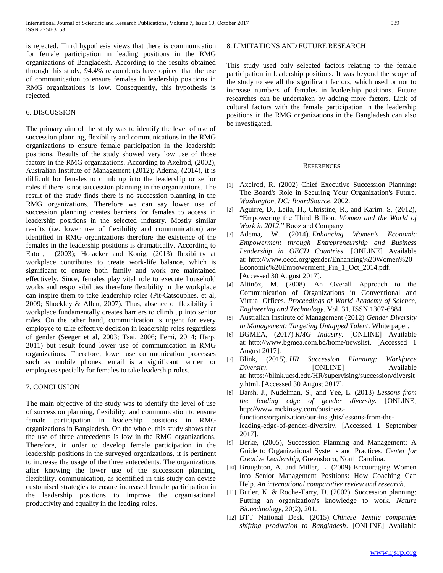is rejected. Third hypothesis views that there is communication for female participation in leading positions in the RMG organizations of Bangladesh. According to the results obtained through this study, 94.4% respondents have opined that the use of communication to ensure females in leadership positions in RMG organizations is low. Consequently, this hypothesis is rejected.

#### 6. DISCUSSION

The primary aim of the study was to identify the level of use of succession planning, flexibility and communications in the RMG organizations to ensure female participation in the leadership positions. Results of the study showed very low use of those factors in the RMG organizations. According to Axelrod, (2002), Australian Institute of Management (2012); Adema, (2014), it is difficult for females to climb up into the leadership or senior roles if there is not succession planning in the organizations. The result of the study finds there is no succession planning in the RMG organizations. Therefore we can say lower use of succession planning creates barriers for females to access in leadership positions in the selected industry. Mostly similar results (i.e. lower use of flexibility and communication) are identified in RMG organizations therefore the existence of the females in the leadership positions is dramatically. According to Eaton, (2003); Hofacker and Konig, (2013) flexibility at workplace contributes to create work-life balance, which is significant to ensure both family and work are maintained effectively. Since, females play vital role to execute household works and responsibilities therefore flexibility in the workplace can inspire them to take leadership roles (Pit-Catsouphes, et al, 2009; Shockley & Allen, 2007). Thus, absence of flexibility in workplace fundamentally creates barriers to climb up into senior roles. On the other hand, communication is urgent for every employee to take effective decision in leadership roles regardless of gender (Seeger et al, 2003; Tsai, 2006; Femi, 2014; Harp, 2011) but result found lower use of communication in RMG organizations. Therefore, lower use communication processes such as mobile phones; email is a significant barrier for employees specially for females to take leadership roles.

#### 7. CONCLUSION

The main objective of the study was to identify the level of use of succession planning, flexibility, and communication to ensure female participation in leadership positions in RMG organizations in Bangladesh. On the whole, this study shows that the use of three antecedents is low in the RMG organizations. Therefore, in order to develop female participation in the leadership positions in the surveyed organizations, it is pertinent to increase the usage of the three antecedents. The organizations after knowing the lower use of the succession planning, flexibility, communication, as identified in this study can devise customised strategies to ensure increased female participation in the leadership positions to improve the organisational productivity and equality in the leading roles.

This study used only selected factors relating to the female participation in leadership positions. It was beyond the scope of the study to see all the significant factors, which used or not to increase numbers of females in leadership positions. Future researches can be undertaken by adding more factors. Link of cultural factors with the female participation in the leadership positions in the RMG organizations in the Bangladesh can also be investigated.

#### **REFERENCES**

- [1] Axelrod, R. (2002) Chief Executive Succession Planning: The Board's Role in Securing Your Organization's Future. *Washington, DC: BoardSource*, 2002.
- [2] Aguirre, D., Leila, H., Christine, R., and Karim. S, (2012), "Empowering the Third Billion. *Women and the World of Work in 2012,*" Booz and Company.
- [3] Adema, W. (2014). *Enhancing Women's Economic Empowerment through Entrepreneurship and Business Leadership in OECD Countries*. [ONLINE] Available at: [http://www.oecd.org/gender/Enhancing%20Women%20](http://www.oecd.org/gender/Enhancing%20Women%20Economic%20Empowerment_Fin_1_Oct_2014.pdf) [Economic%20Empowerment\\_Fin\\_1\\_Oct\\_2014.pdf.](http://www.oecd.org/gender/Enhancing%20Women%20Economic%20Empowerment_Fin_1_Oct_2014.pdf) [Accessed 30 August 2017].
- [4] Altinöz, M. (2008). An Overall Approach to the Communication of Organizations in Conventional and Virtual Offices. *Proceedings of World Academy of Science, Engineering and Technology*. Vol. 31, ISSN 1307-6884
- [5] Australian Institute of Management (2012) *Gender Diversity in Management; Targeting Untapped Talent*. White paper.
- [6] BGMEA, (2017) *RMG Industry*. [ONLINE] Available at: [http://www.bgmea.com.bd/home/newslist.](http://www.bgmea.com.bd/home/newslist) [Accessed 1 August 2017].
- [7] Blink, (2015). *HR Succession Planning: Workforce Diversity.* [ONLINE] Available at: [https://blink.ucsd.edu/HR/supervising/succession/diversit](https://blink.ucsd.edu/HR/supervising/succession/diversity.html) [y.html.](https://blink.ucsd.edu/HR/supervising/succession/diversity.html) [Accessed 30 August 2017].
- [8] Barsh. J., Nudelman, S., and Yee, L. (2013) *Lessons from the leading edge of gender diversity.* [ONLINE] http://www.mckinsey.com/businessfunctions/organization/our-insights/lessons-from-theleading-edge-of-gender-diversity. [Accessed 1 September 2017].
- [9] Berke, (2005), Succession Planning and Management: A Guide to Organizational Systems and Practices. *Center for Creative Leadership*, Greensboro, North Carolina.
- [10] Broughton, A. and Miller, L. (2009) Encouraging Women into Senior Management Positions: How Coaching Can Help. *An international comparative review and research*.
- [11] Butler, K. & Roche-Tarry, D. (2002). Succession planning: Putting an organization's knowledge to work. *Nature Biotechnology*, 20(2), 201.
- [12] BTT National Desk. (2015). *Chinese Textile companies shifting production to Bangladesh*. [ONLINE] Available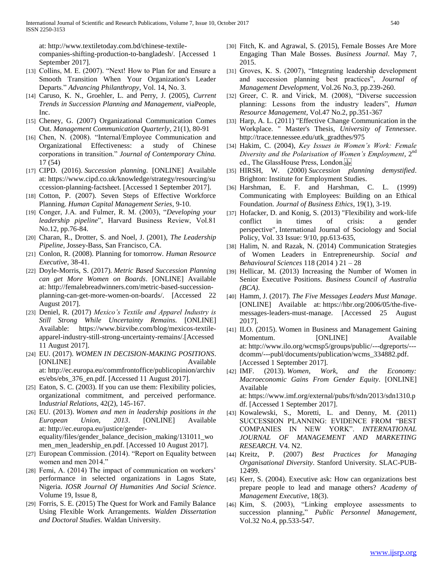at: [http://www.textiletoday.com.bd/chinese-textile](http://www.textiletoday.com.bd/chinese-textile-companies-shifting-production-to-bangladesh/)[companies-shifting-production-to-bangladesh/.](http://www.textiletoday.com.bd/chinese-textile-companies-shifting-production-to-bangladesh/) [Accessed 1 September 2017].

- [13] Collins, M. E. (2007). "Next! How to Plan for and Ensure a Smooth Transition When Your Organization's Leader Departs." *Advancing Philanthropy*, Vol. 14, No. 3.
- [14] Caruso, K. N., Groehler, L. and Perry, J. (2005), *Current Trends in Succession Planning and Management*, viaPeople, Inc.
- [15] Cheney, G. (2007) Organizational Communication Comes Out. *Management Communication Quarterly*, 21(1), 80-91
- [16] Chen, N. (2008). "Internal/Employee Communication and Organizational Effectiveness: a study of Chinese corporations in transition." *Journal of Contemporary China.* 17 (54)
- [17] CIPD. (2016). *Succession planning*. [ONLINE] Available at: [https://www.cipd.co.uk/knowledge/strategy/resourcing/su](https://www.cipd.co.uk/knowledge/strategy/resourcing/succession-planning-factsheet) [ccession-planning-factsheet.](https://www.cipd.co.uk/knowledge/strategy/resourcing/succession-planning-factsheet) [Accessed 1 September 2017].
- [18] Cotton, P. (2007). Seven Steps of Effective Workforce Planning. *Human Capital Management Series*, 9-10.
- [19] Conger, J.A. and Fulmer, R. M. (2003), "*Developing your leadership pipeline*", Harvard Business Review, Vol.81 No.12, pp.76-84.
- [20] Charan, R., Drotter, S. and Noel, J. (2001), *The Leadership Pipeline,* Jossey-Bass, San Francisco, CA.
- [21] Conlon, R. (2008). Planning for tomorrow. *Human Resource Executive*, 38-41.
- [22] Doyle-Morris, S. (2017). *Metric Based Succession Planning can get More Women on Boards*. [ONLINE] Available at: [http://femalebreadwinners.com/metric-based-succession](http://femalebreadwinners.com/metric-based-succession-planning-can-get-more-women-on-boards/)[planning-can-get-more-women-on-boards/.](http://femalebreadwinners.com/metric-based-succession-planning-can-get-more-women-on-boards/) [Accessed 22 August 2017].
- [23] Deniel, R. (2017) *Mexico's Textile and Apparel Industry is Still Strong While Uncertainty Remains.* [ONLINE] Available: https://www.bizvibe.com/blog/mexicos-textileapparel-industry-still-strong-uncertainty-remains/.[Accessed 11 August 2017].
- [24] EU. (2017). *WOMEN IN DECISION-MAKING POSITIONS*. [ONLINE] Available at: [http://ec.europa.eu/commfrontoffice/publicopinion/archiv](http://ec.europa.eu/commfrontoffice/publicopinion/archives/ebs/ebs_376_en.pdf) [es/ebs/ebs\\_376\\_en.pdf.](http://ec.europa.eu/commfrontoffice/publicopinion/archives/ebs/ebs_376_en.pdf) [Accessed 11 August 2017].
- [25] Eaton, S. C. (2003). If you can use them: Flexibility policies, organizational commitment, and perceived performance. I*ndustrial Relations,* 42(2), 145-167.
- [26] EU. (2013). *Women and men in leadership positions in the European Union, 2013*. [ONLINE] Available at: [http://ec.europa.eu/justice/gender](http://ec.europa.eu/justice/gender-equality/files/gender_balance_decision_making/131011_women_men_leadership_en.pdf)[equality/files/gender\\_balance\\_decision\\_making/131011\\_wo](http://ec.europa.eu/justice/gender-equality/files/gender_balance_decision_making/131011_women_men_leadership_en.pdf) [men\\_men\\_leadership\\_en.pdf.](http://ec.europa.eu/justice/gender-equality/files/gender_balance_decision_making/131011_women_men_leadership_en.pdf) [Accessed 10 August 2017].
- [27] European Commission. (2014). "Report on Equality between women and men 2014."
- [28] Femi, A. (2014) The impact of communication on workers' performance in selected organizations in Lagos State, Nigeria. *IOSR Journal Of Humanities And Social Science*. Volume 19, Issue 8,
- [29] Forris, S. E. (2015) The Quest for Work and Family Balance Using Flexible Work Arrangements. *Walden Dissertation and Doctoral Studies.* Waldan University.
- [30] Fitch, K. and Agrawal, S. (2015), Female Bosses Are More Engaging Than Male Bosses. *Business Journal*. May 7, 2015.
- [31] Groves, K. S. (2007), "Integrating leadership development and succession planning best practices", *Journal of Management Development,* Vol.26 No.3, pp.239-260.
- [32] Greer, C. R. and Virick, M. (2008), "Diverse succession planning: Lessons from the industry leaders", *Human Resource Management*, Vol.47 No.2, pp.351-367
- [33] Harp, A. L. (2011) "Effective Change Communication in the Workplace. " Master's Thesis, *University of Tennessee*. http://trace.tennessee.edu/utk\_gradthes/975
- [34] Hakim, C. (2004), *Key Issues in Women's Work: Female Diversity and the Polarisation of Women's Employment*, 2nd ed., The GlassHouse Press, London.
- [35] HIRSH, W. (2000) *Succession planning demystified*. Brighton: Institute for Employment Studies.
- [36] Harshman, E. F. and Harshman, C. L. (1999) Communicating with Employees: Building on an Ethical Foundation. *Journal of Business Ethics*, 19(1), 3-19.
- [37] Hofacker, D. and Konig, S. (2013) "Flexibility and work-life conflict in times of crisis: a gender perspective", International Journal of Sociology and Social Policy, Vol. 33 Issue: 9/10, pp.613-635,
- [38] Halim, N. and Razak, N. (2014) Communication Strategies of Women Leaders in Entrepreneurship. *Social and Behavioural Sciences* 118 (2014 ) 21 – 28
- [39] Hellicar, M. (2013) Increasing the Number of Women in Senior Executive Positions. *Business Council of Australia (BCA)*.
- [40] Hamm, J. (2017). *The Five Messages Leaders Must Manage*. [ONLINE] Available at: [https://hbr.org/2006/05/the-five](https://hbr.org/2006/05/the-five-messages-leaders-must-manage)[messages-leaders-must-manage.](https://hbr.org/2006/05/the-five-messages-leaders-must-manage) [Accessed 25 August 2017].
- [41] ILO. (2015). Women in Business and Management Gaining Momentum. [ONLINE] Available at: [http://www.ilo.org/wcmsp5/groups/public/---dgreports/--](http://www.ilo.org/wcmsp5/groups/public/---dgreports/---dcomm/---publ/documents/publication/wcms_334882.pdf) [dcomm/---publ/documents/publication/wcms\\_334882.pdf.](http://www.ilo.org/wcmsp5/groups/public/---dgreports/---dcomm/---publ/documents/publication/wcms_334882.pdf) [Accessed 1 September 2017].
- [42] IMF. (2013). *Women, Work, and the Economy: Macroeconomic Gains From Gender Equity*. [ONLINE] Available at: [https://www.imf.org/external/pubs/ft/sdn/2013/sdn1310.p](https://www.imf.org/external/pubs/ft/sdn/2013/sdn1310.pdf) [df.](https://www.imf.org/external/pubs/ft/sdn/2013/sdn1310.pdf) [Accessed 1 September 2017].
- [43] Kowalewski, S., Moretti, L. and Denny, M. (2011) SUCCESSION PLANNING: EVIDENCE FROM "BEST COMPANIES IN NEW YORK". *INTERNATIONAL JOURNAL OF MANAGEMENT AND MARKETING RESEARCH.* V4. N2.
- [44] Kreitz, P. (2007) *Best Practices for Managing Organisational Diversity*. Stanford University. SLAC-PUB-12499.
- [45] Kerr, S. (2004). Executive ask: How can organizations best prepare people to lead and manage others? *Academy of Management Executive*, 18(3).
- [46] Kim, S. (2003), "Linking employee assessments to succession planning," *Public Personnel Management*, Vol.32 No.4, pp.533-547.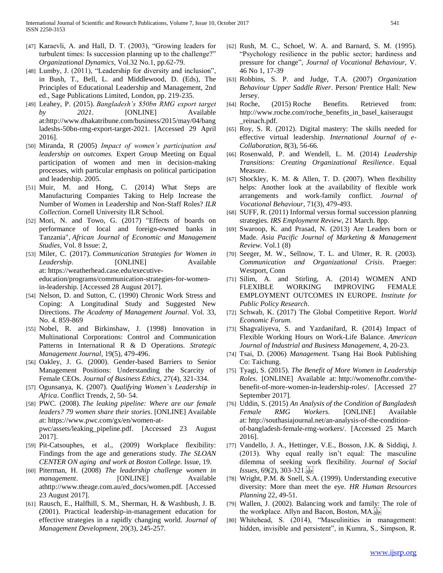- [47] Karaevli, A. and Hall, D. T. (2003), "Growing leaders for turbulent times: Is succession planning up to the challenge?" *Organizational Dynamics*, Vol.32 No.1, pp.62-79.
- [48] Lumby, J. (2011), "Leadership for diversity and inclusion", in Bush, T., Bell, L. and Middlewood, D. (Eds), The Principles of Educational Leadership and Management, 2nd ed., Sage Publications Limited, London, pp. 219-235.
- [49] Leahey, P. (2015). *Bangladesh's \$50bn RMG export target by 2021*. [ONLINE] Available at[:http://www.dhakatribune.com/business/2015/may/04/bang](http://www.dhakatribune.com/business/2015/may/04/bangladeshs-50bn-rmg-export-target-2021) [ladeshs-50bn-rmg-export-target-2021.](http://www.dhakatribune.com/business/2015/may/04/bangladeshs-50bn-rmg-export-target-2021) [Accessed 29 April 2016].
- [50] Miranda, R (2005) *Impact of women's participation and leadership on outcomes.* Expert Group Meeting on Equal participation of women and men in decision-making processes, with particular emphasis on political participation and leadership. 2005.
- [51] Muir, M. and Hong, C. (2014) What Steps are Manufacturing Companies Taking to Help Increase the Number of Women in Leadership and Non-Staff Roles? *ILR Collection*. Cornell University ILR School.
- [52] Mori, N. and Towo, G. (2017) "Effects of boards on performance of local and foreign-owned banks in Tanzania", *African Journal of Economic and Management Studies*, Vol. 8 Issue: 2,
- [53] Miler, C. (2017). *Communication Strategies for Women in Leadership*. [ONLINE] Available at: [https://weatherhead.case.edu/executive](https://weatherhead.case.edu/executive-education/programs/communication-strategies-for-women-in-leadership)[education/programs/communication-strategies-for-women](https://weatherhead.case.edu/executive-education/programs/communication-strategies-for-women-in-leadership)[in-leadership.](https://weatherhead.case.edu/executive-education/programs/communication-strategies-for-women-in-leadership) [Accessed 28 August 2017].
- [54] Nelson, D. and Sutton, C. (1990) Chronic Work Stress and Coping: A Longitudinal Study and Suggested New Directions. *The Academy of Management Journal*. Vol. 33, No. 4. 859-869
- [55] Nobel, R. and Birkinshaw, J. (1998) Innovation in Multinational Corporations: Control and Communication Patterns in International R & D Operations. *Strategic Management Journal*, 19(5), 479-496.
- [56] Oakley, J. G. (2000). Gender-based Barriers to Senior Management Positions: Understanding the Scarcity of Female CEOs. *Journal of Business Ethics*, 27(4), 321-334.
- [57] Ogunsanya, K. (2007). *Qualifying Women`s Leadership in Africa*. Conflict Trends, 2, 50- 54.
- [58] PWC. (2008). *The leaking pipeline: Where are our female leaders? 79 women share their stories*. [ONLINE] Available at: [https://www.pwc.com/gx/en/women-at](https://www.pwc.com/gx/en/women-at-pwc/assets/leaking_pipeline.pdf)[pwc/assets/leaking\\_pipeline.pdf.](https://www.pwc.com/gx/en/women-at-pwc/assets/leaking_pipeline.pdf) [Accessed 23 August 2017].
- [59] Pit-Catsouphes, et al., (2009) Workplace flexibility: Findings from the age and generations study. *The SLOAN CENTER ON aging and work at Boston College.* Issue, 19.
- [60] Piterman, H. (2008) *The leadership challenge women in management*. [ONLINE] Available athttp://www.theage.com.au/ed\_docs/women.pdf. [Accessed 23 August 2017].
- [61] Rausch, E., Halfhill, S. M., Sherman, H. & Washbush, J. B. (2001). Practical leadership-in-management education for effective strategies in a rapidly changing world. *Journal of Management Development,* 20(3), 245-257.
- [62] Rush, M. C., Schoel, W. A. and Barnard, S. M. (1995). "Psychology resilience in the public sector; hardiness and pressure for change", *Journal of Vocational Behaviour,* V. 46 No 1, 17-39
- [63] Robbins, S. P. and Judge, T.A. (2007) *Organization Behaviour Upper Saddle River*. Person/ Prentice Hall: New Jersey.
- [64] Roche, (2015) Roche Benefits. Retrieved from: [http://www.roche.com/roche\\_benefits\\_in\\_basel\\_kaiseraugst](http://www.roche.com/roche_benefits_in_basel_kaiseraugst_reinach.pdf) [\\_reinach.pdf.](http://www.roche.com/roche_benefits_in_basel_kaiseraugst_reinach.pdf)
- [65] Roy, S. R. (2012). Digital mastery: The skills needed for effective virtual leadership. *International Journal of e-Collaboration*, 8(3), 56-66.
- [66] Rosenwald, P. and Wendell, L. M. (2014) *Leadership Transitions: Creating Organizational Resilience*. Equal Measure.
- [67] Shockley, K. M. & Allen, T. D. (2007). When flexibility helps: Another look at the availability of flexible work arrangements and work-family conflict. *Journal of Vocational Behaviour*, 71(3), 479-493.
- [68] SUFF, R. (2011) Informal versus formal succession planning strategies. *IRS Employment Review*, 21 March. 8pp.
- [69] Swaroop, K. and Prasad, N. (2013) Are Leaders born or Made. *Asia Pacific Journal of Marketing & Management Review.* Vol.1 (8)
- [70] Seeger, M. W., Sellnow, T. L. and Ulmer, R. R. (2003). *Communication and Organizational Crisis*. Praeger: Westport, Conn
- [71] Silim, A. and Stirling, A. (2014) WOMEN AND FLEXIBLE WORKING IMPROVING FEMALE EMPLOYMENT OUTCOMES IN EUROPE. *Institute for Public Policy Research*.
- [72] Schwab, K. (2017) The Global Competitive Report. *World Economic Forum.*
- [73] Shagvaliyeva, S. and Yazdanifard, R. (2014) Impact of Flexible Working Hours on Work-Life Balance. *American Journal of Industrial and Business Management*, 4, 20-23.
- [74] Tsai, D. (2006) *Management.* Tsang Hai Book Publishing Co: Taichung.
- [75] Tyagi, S. (2015). *The Benefit of More Women in Leadership Roles*. [ONLINE] Available at: [http://womenofhr.com/the](http://womenofhr.com/the-benefit-of-more-women-in-leadership-roles/)[benefit-of-more-women-in-leadership-roles/.](http://womenofhr.com/the-benefit-of-more-women-in-leadership-roles/) [Accessed 27 September 2017].
- [76] Uddin, S. (2015) *An Analysis of the Condition of Bangladesh Female RMG Workers.* [ONLINE] Available at: [http://southasiajournal.net/an-analysis-of-the-condition](http://southasiajournal.net/an-analysis-of-the-condition-of-bangladesh-female-rmg-workers/)[of-bangladesh-female-rmg-workers/.](http://southasiajournal.net/an-analysis-of-the-condition-of-bangladesh-female-rmg-workers/) [Accessed 25 March 2016].
- [77] Vandello, J. A., Hettinger, V.E., Bosson, J.K. & Siddiqi, J. (2013). Why equal really isn't equal: The masculine dilemma of seeking work flexibility. *Journal of Social Issues*, 69(2), 303-321.
- [78] Wright, P.M. & Snell, S.A. (1999). Understanding executive diversity: More than meet the eye. *HR Human Resources Planning* 22, 49-51.
- [79] Wallen, J. (2002). Balancing work and family: The role of the workplace. Allyn and Bacon, Boston, MA.
- [80] Whitehead, S. (2014), "Masculinities in management: hidden, invisible and persistent", in Kumra, S., Simpson, R.